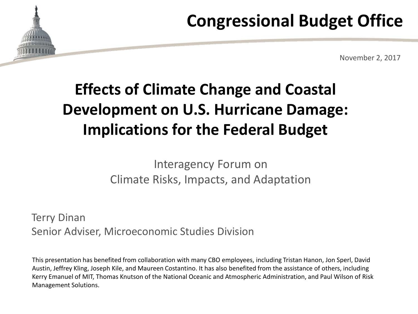# **Congressional Budget Office**



# **Effects of Climate Change and Coastal Development on U.S. Hurricane Damage: Implications for the Federal Budget**

#### Interagency Forum on Climate Risks, Impacts, and Adaptation

Terry Dinan Senior Adviser, Microeconomic Studies Division

This presentation has benefited from collaboration with many CBO employees, including Tristan Hanon, Jon Sperl, David Austin, Jeffrey Kling, Joseph Kile, and Maureen Costantino. It has also benefited from the assistance of others, including Kerry Emanuel of MIT, Thomas Knutson of the National Oceanic and Atmospheric Administration, and Paul Wilson of Risk Management Solutions.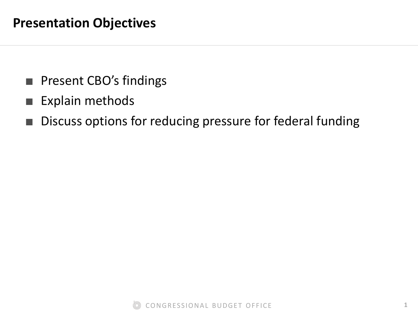- Present CBO's findings
- Explain methods
- Discuss options for reducing pressure for federal funding

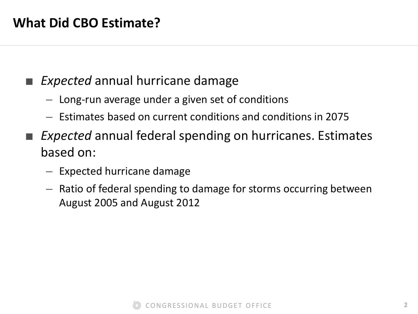#### **Expected** annual hurricane damage

- Long-run average under a given set of conditions
- Estimates based on current conditions and conditions in 2075
- *Expected* annual federal spending on hurricanes. Estimates based on:
	- Expected hurricane damage
	- Ratio of federal spending to damage for storms occurring between August 2005 and August 2012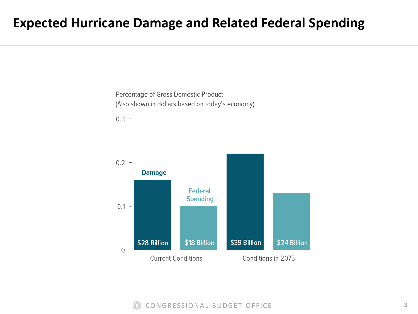#### **Expected Hurricane Damage and Related Federal Spending**

Percentage of Gross Domestic Product (Also shown in dollars based on today's economy)



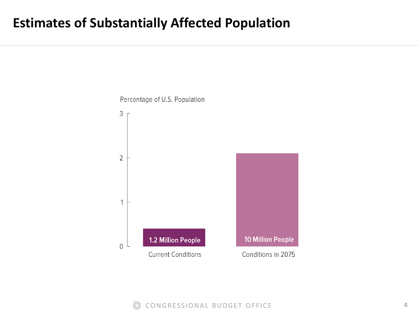#### **Estimates of Substantially Affected Population**



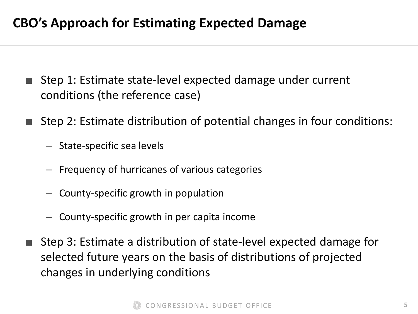#### **CBO's Approach for Estimating Expected Damage**

- Step 1: Estimate state-level expected damage under current conditions (the reference case)
- Step 2: Estimate distribution of potential changes in four conditions:
	- State-specific sea levels
	- Frequency of hurricanes of various categories
	- County-specific growth in population
	- County-specific growth in per capita income
- Step 3: Estimate a distribution of state-level expected damage for selected future years on the basis of distributions of projected changes in underlying conditions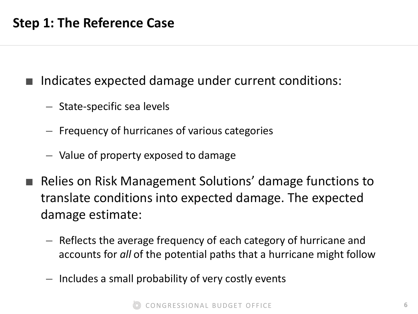Indicates expected damage under current conditions:

- State-specific sea levels
- Frequency of hurricanes of various categories
- Value of property exposed to damage
- Relies on Risk Management Solutions' damage functions to translate conditions into expected damage. The expected damage estimate:
	- Reflects the average frequency of each category of hurricane and accounts for *all* of the potential paths that a hurricane might follow
	- Includes a small probability of very costly events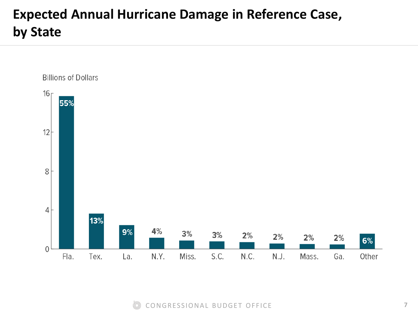## **Expected Annual Hurricane Damage in Reference Case, by State**

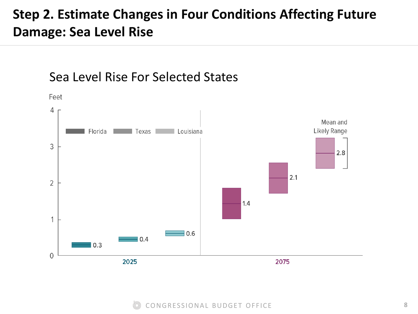#### **Step 2. Estimate Changes in Four Conditions Affecting Future Damage: Sea Level Rise**



#### Sea Level Rise For Selected States

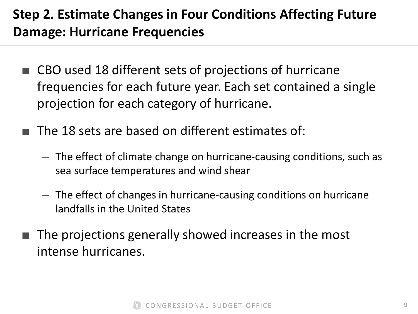### **Step 2. Estimate Changes in Four Conditions Affecting Future Damage: Hurricane Frequencies**

- CBO used 18 different sets of projections of hurricane frequencies for each future year. Each set contained a single projection for each category of hurricane.
- The 18 sets are based on different estimates of:
	- The effect of climate change on hurricane-causing conditions, such as sea surface temperatures and wind shear
	- The effect of changes in hurricane-causing conditions on hurricane landfalls in the United States
- The projections generally showed increases in the most intense hurricanes.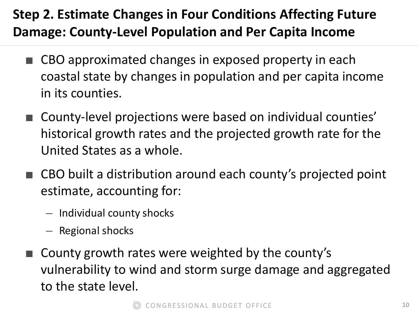## **Step 2. Estimate Changes in Four Conditions Affecting Future Damage: County-Level Population and Per Capita Income**

- CBO approximated changes in exposed property in each coastal state by changes in population and per capita income in its counties.
- County-level projections were based on individual counties' historical growth rates and the projected growth rate for the United States as a whole.
- CBO built a distribution around each county's projected point estimate, accounting for:
	- Individual county shocks
	- Regional shocks
- County growth rates were weighted by the county's vulnerability to wind and storm surge damage and aggregated to the state level.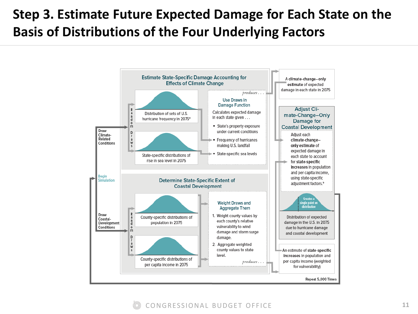### **Step 3. Estimate Future Expected Damage for Each State on the Basis of Distributions of the Four Underlying Factors**

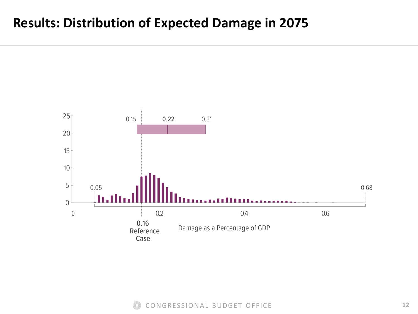#### **Results: Distribution of Expected Damage in 2075**



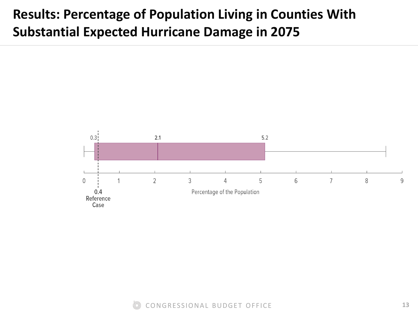#### **Results: Percentage of Population Living in Counties With Substantial Expected Hurricane Damage in 2075**



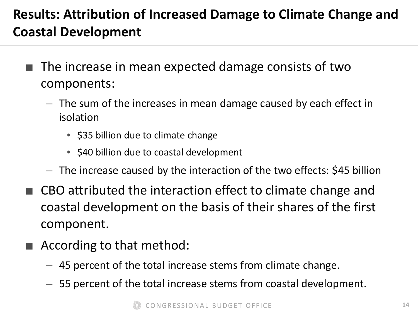### **Results: Attribution of Increased Damage to Climate Change and Coastal Development**

- The increase in mean expected damage consists of two components:
	- The sum of the increases in mean damage caused by each effect in isolation
		- \$35 billion due to climate change
		- \$40 billion due to coastal development
	- The increase caused by the interaction of the two effects: \$45 billion
- CBO attributed the interaction effect to climate change and coastal development on the basis of their shares of the first component.
- According to that method:
	- 45 percent of the total increase stems from climate change.
	- 55 percent of the total increase stems from coastal development.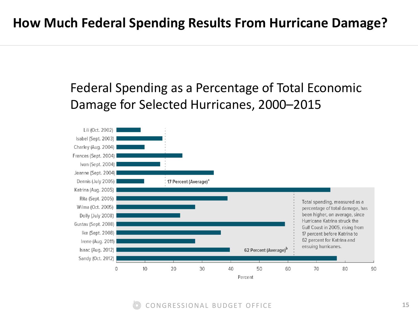#### Federal Spending as a Percentage of Total Economic Damage for Selected Hurricanes, 2000–2015

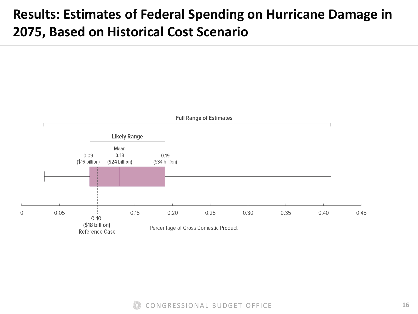### **Results: Estimates of Federal Spending on Hurricane Damage in 2075, Based on Historical Cost Scenario**



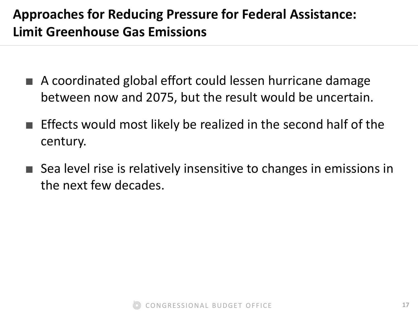### **Approaches for Reducing Pressure for Federal Assistance: Limit Greenhouse Gas Emissions**

- A coordinated global effort could lessen hurricane damage between now and 2075, but the result would be uncertain.
- Effects would most likely be realized in the second half of the century.
- Sea level rise is relatively insensitive to changes in emissions in the next few decades.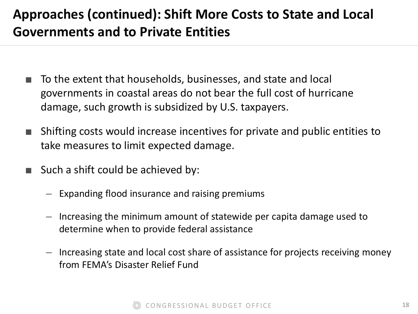### **Approaches (continued): Shift More Costs to State and Local Governments and to Private Entities**

- To the extent that households, businesses, and state and local governments in coastal areas do not bear the full cost of hurricane damage, such growth is subsidized by U.S. taxpayers.
- Shifting costs would increase incentives for private and public entities to take measures to limit expected damage.
- Such a shift could be achieved by:
	- Expanding flood insurance and raising premiums
	- Increasing the minimum amount of statewide per capita damage used to determine when to provide federal assistance
	- Increasing state and local cost share of assistance for projects receiving money from FEMA's Disaster Relief Fund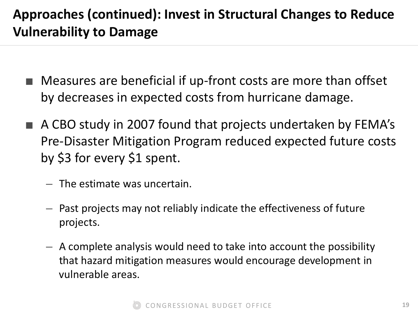## **Approaches (continued): Invest in Structural Changes to Reduce Vulnerability to Damage**

- Measures are beneficial if up-front costs are more than offset by decreases in expected costs from hurricane damage.
- A CBO study in 2007 found that projects undertaken by FEMA's Pre-Disaster Mitigation Program reduced expected future costs by \$3 for every \$1 spent.
	- The estimate was uncertain.
	- Past projects may not reliably indicate the effectiveness of future projects.
	- A complete analysis would need to take into account the possibility that hazard mitigation measures would encourage development in vulnerable areas.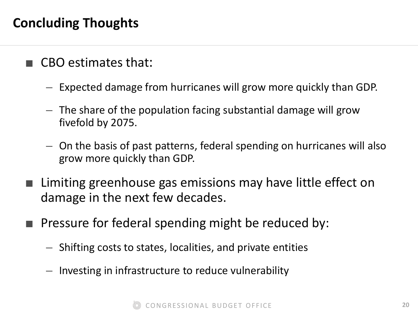#### **Concluding Thoughts**

- CBO estimates that:
	- Expected damage from hurricanes will grow more quickly than GDP.
	- The share of the population facing substantial damage will grow fivefold by 2075.
	- On the basis of past patterns, federal spending on hurricanes will also grow more quickly than GDP.
- Limiting greenhouse gas emissions may have little effect on damage in the next few decades.
- Pressure for federal spending might be reduced by:
	- Shifting costs to states, localities, and private entities
	- Investing in infrastructure to reduce vulnerability